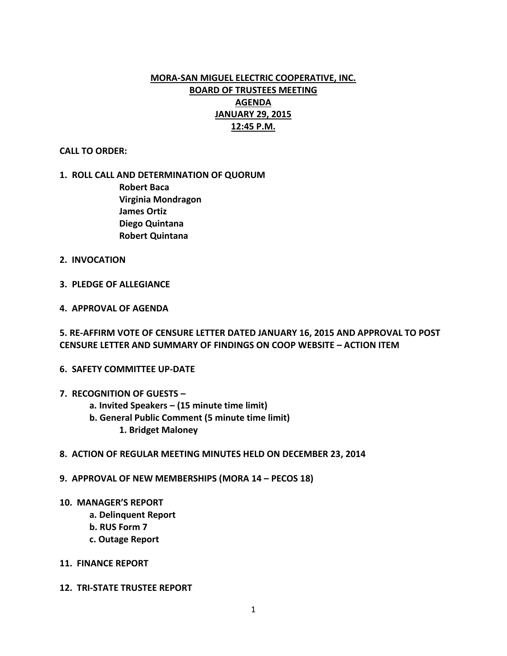# **MORA-SAN MIGUEL ELECTRIC COOPERATIVE, INC. BOARD OF TRUSTEES MEETING AGENDA JANUARY 29, 2015 12:45 P.M.**

#### **CALL TO ORDER:**

## **1. ROLL CALL AND DETERMINATION OF QUORUM**

**Robert Baca Virginia Mondragon James Ortiz Diego Quintana Robert Quintana**

- **2. INVOCATION**
- **3. PLEDGE OF ALLEGIANCE**
- **4. APPROVAL OF AGENDA**

**5. RE-AFFIRM VOTE OF CENSURE LETTER DATED JANUARY 16, 2015 AND APPROVAL TO POST CENSURE LETTER AND SUMMARY OF FINDINGS ON COOP WEBSITE – ACTION ITEM**

- **6. SAFETY COMMITTEE UP-DATE**
- **7. RECOGNITION OF GUESTS –**
	- **a. Invited Speakers – (15 minute time limit)**
	- **b. General Public Comment (5 minute time limit)**
		- **1. Bridget Maloney**
- **8. ACTION OF REGULAR MEETING MINUTES HELD ON DECEMBER 23, 2014**
- **9. APPROVAL OF NEW MEMBERSHIPS (MORA 14 – PECOS 18)**
- **10. MANAGER'S REPORT**
	- **a. Delinquent Report**
	- **b. RUS Form 7**
	- **c. Outage Report**
- **11. FINANCE REPORT**
- **12. TRI-STATE TRUSTEE REPORT**